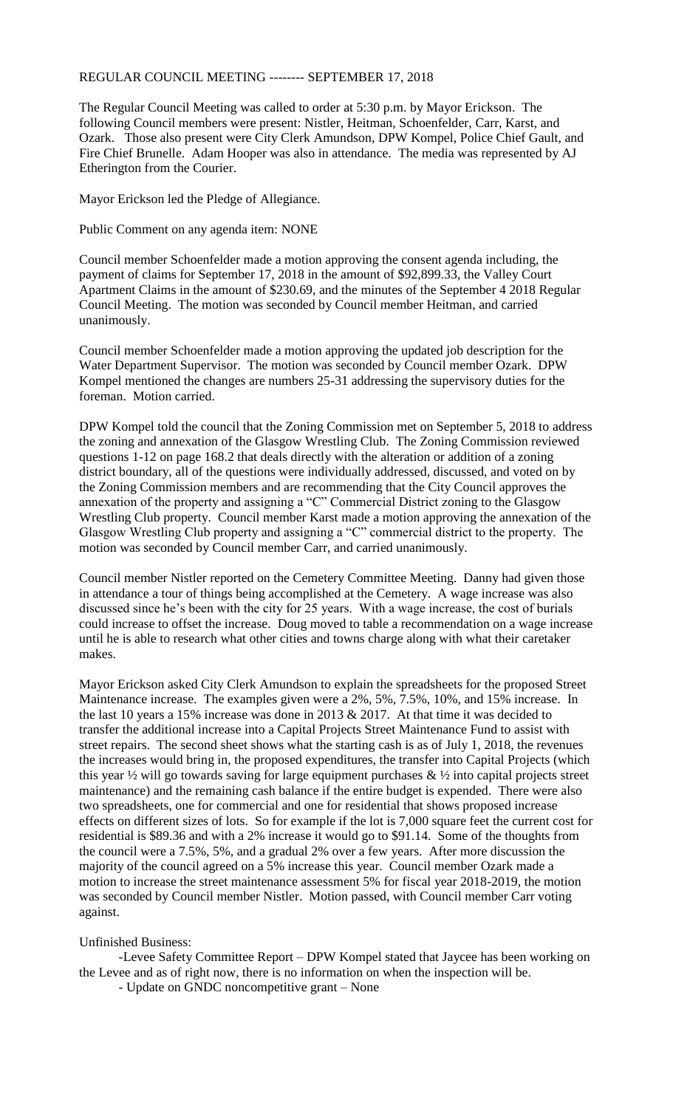## REGULAR COUNCIL MEETING -------- SEPTEMBER 17, 2018

The Regular Council Meeting was called to order at 5:30 p.m. by Mayor Erickson. The following Council members were present: Nistler, Heitman, Schoenfelder, Carr, Karst, and Ozark. Those also present were City Clerk Amundson, DPW Kompel, Police Chief Gault, and Fire Chief Brunelle. Adam Hooper was also in attendance. The media was represented by AJ Etherington from the Courier.

Mayor Erickson led the Pledge of Allegiance.

Public Comment on any agenda item: NONE

Council member Schoenfelder made a motion approving the consent agenda including, the payment of claims for September 17, 2018 in the amount of \$92,899.33, the Valley Court Apartment Claims in the amount of \$230.69, and the minutes of the September 4 2018 Regular Council Meeting. The motion was seconded by Council member Heitman, and carried unanimously.

Council member Schoenfelder made a motion approving the updated job description for the Water Department Supervisor. The motion was seconded by Council member Ozark. DPW Kompel mentioned the changes are numbers 25-31 addressing the supervisory duties for the foreman. Motion carried.

DPW Kompel told the council that the Zoning Commission met on September 5, 2018 to address the zoning and annexation of the Glasgow Wrestling Club. The Zoning Commission reviewed questions 1-12 on page 168.2 that deals directly with the alteration or addition of a zoning district boundary, all of the questions were individually addressed, discussed, and voted on by the Zoning Commission members and are recommending that the City Council approves the annexation of the property and assigning a "C" Commercial District zoning to the Glasgow Wrestling Club property. Council member Karst made a motion approving the annexation of the Glasgow Wrestling Club property and assigning a "C" commercial district to the property. The motion was seconded by Council member Carr, and carried unanimously.

Council member Nistler reported on the Cemetery Committee Meeting. Danny had given those in attendance a tour of things being accomplished at the Cemetery. A wage increase was also discussed since he's been with the city for 25 years. With a wage increase, the cost of burials could increase to offset the increase. Doug moved to table a recommendation on a wage increase until he is able to research what other cities and towns charge along with what their caretaker makes.

Mayor Erickson asked City Clerk Amundson to explain the spreadsheets for the proposed Street Maintenance increase. The examples given were a 2%, 5%, 7.5%, 10%, and 15% increase. In the last 10 years a 15% increase was done in 2013 & 2017. At that time it was decided to transfer the additional increase into a Capital Projects Street Maintenance Fund to assist with street repairs. The second sheet shows what the starting cash is as of July 1, 2018, the revenues the increases would bring in, the proposed expenditures, the transfer into Capital Projects (which this year  $\frac{1}{2}$  will go towards saving for large equipment purchases  $\& \frac{1}{2}$  into capital projects street maintenance) and the remaining cash balance if the entire budget is expended. There were also two spreadsheets, one for commercial and one for residential that shows proposed increase effects on different sizes of lots. So for example if the lot is 7,000 square feet the current cost for residential is \$89.36 and with a 2% increase it would go to \$91.14. Some of the thoughts from the council were a 7.5%, 5%, and a gradual 2% over a few years. After more discussion the majority of the council agreed on a 5% increase this year. Council member Ozark made a motion to increase the street maintenance assessment 5% for fiscal year 2018-2019, the motion was seconded by Council member Nistler. Motion passed, with Council member Carr voting against.

## Unfinished Business:

-Levee Safety Committee Report – DPW Kompel stated that Jaycee has been working on the Levee and as of right now, there is no information on when the inspection will be.

- Update on GNDC noncompetitive grant – None